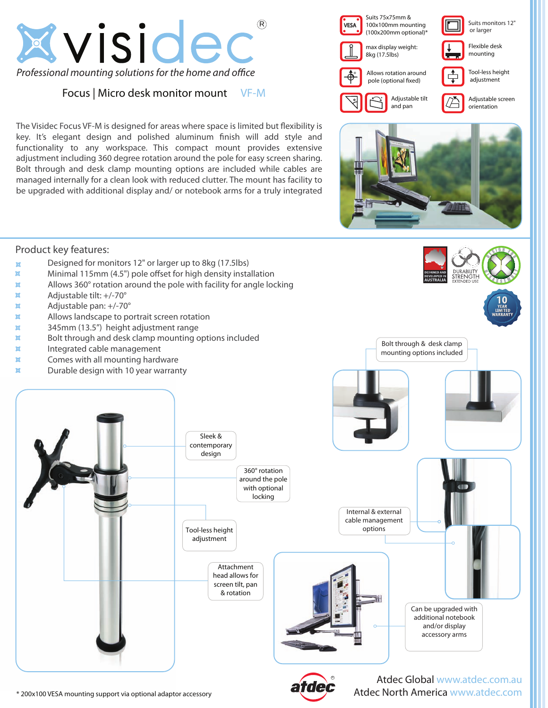

## Focus | Micro desk monitor mount VF-M

The Visidec Focus VF-M is designed for areas where space is limited but flexibility is key. It's elegant design and polished aluminum finish will add style and functionality to any workspace. This compact mount provides extensive adjustment including 360 degree rotation around the pole for easy screen sharing. Bolt through and desk clamp mounting options are included while cables are managed internally for a clean look with reduced clutter. The mount has facility to be upgraded with additional display and/ or notebook arms for a truly integrated





Bolt through & desk clamp mounting options included

## Product key features:

- $\alpha$  Designed for monitors 12" or larger up to 8kg (17.5lbs)
- $\mathbb{X}$  Minimal 115mm (4.5") pole offset for high density installation
- **X** Allows 360° rotation around the pole with facility for angle locking
- $\overline{\mathsf{x}}$  Adjustable tilt: +/-70 $^{\circ}$
- $\alpha$  Adjustable pan:  $+/-70^{\circ}$
- $\mathbb{X}$  Allows landscape to portrait screen rotation
- 345mm (13.5") height adjustment range
- $\mathbb{X}$  Bolt through and desk clamp mounting options included
- $\mathbf{\times}$  Integrated cable management
- $\times$  Comes with all mounting hardware
- $\times$  Durable design with 10 year warranty



\* 200x100 VESA mounting support via optional adaptor accessory